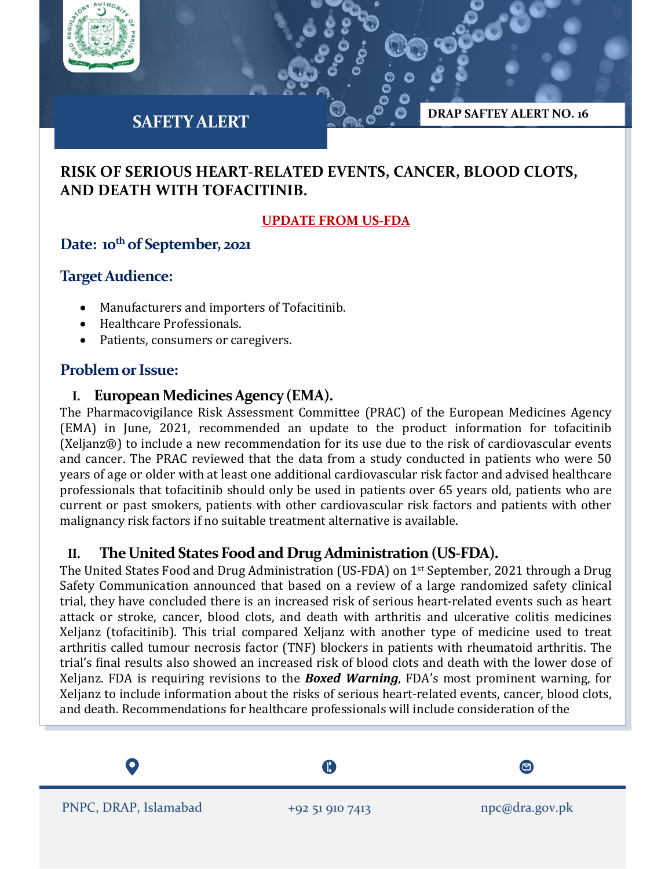

# **SAFETY ALERT**

# **RISK OF SERIOUS HEART-RELATED EVENTS, CANCER, BLOOD CLOTS, AND DEATH WITH TOFACITINIB.**

#### **UPDATE FROM US-FDA**

**DRAP SAFTEY ALERT NO. 16**

## Date: 10<sup>th</sup> of September, 2021

#### **Target Audience:**

- Manufacturers and importers of Tofacitinib.
- Healthcare Professionals.
- Patients, consumers or caregivers.

## **Problem or Issue:**

#### **I. European Medicines Agency (EMA).**

The Pharmacovigilance Risk Assessment Committee (PRAC) of the European Medicines Agency (EMA) in June, 2021, recommended an update to the product information for tofacitinib (Xeljanz®) to include a new recommendation for its use due to the risk of cardiovascular events and cancer. The PRAC reviewed that the data from a study conducted in patients who were 50 years of age or older with at least one additional cardiovascular risk factor and advised healthcare professionals that tofacitinib should only be used in patients over 65 years old, patients who are current or past smokers, patients with other cardiovascular risk factors and patients with other malignancy risk factors if no suitable treatment alternative is available.

## **II. The United States Food and Drug Administration (US-FDA).**

The United States Food and Drug Administration (US-FDA) on 1st September, 2021 through a Drug Safety Communication announced that based on a review of a large randomized safety clinical trial, they have concluded there is an increased risk of serious heart-related events such as heart attack or stroke, cancer, blood clots, and death with arthritis and ulcerative colitis medicines Xeljanz (tofacitinib). This trial compared Xeljanz with another type of medicine used to treat arthritis called tumour necrosis factor (TNF) blockers in patients with rheumatoid arthritis. The trial's final results also showed an increased risk of blood clots and death with the lower dose of Xeljanz. FDA is requiring revisions to the *Boxed Warning*, FDA's most prominent warning, for Xeljanz to include information about the risks of serious heart-related events, cancer, blood clots, and death. Recommendations for healthcare professionals will include consideration of the

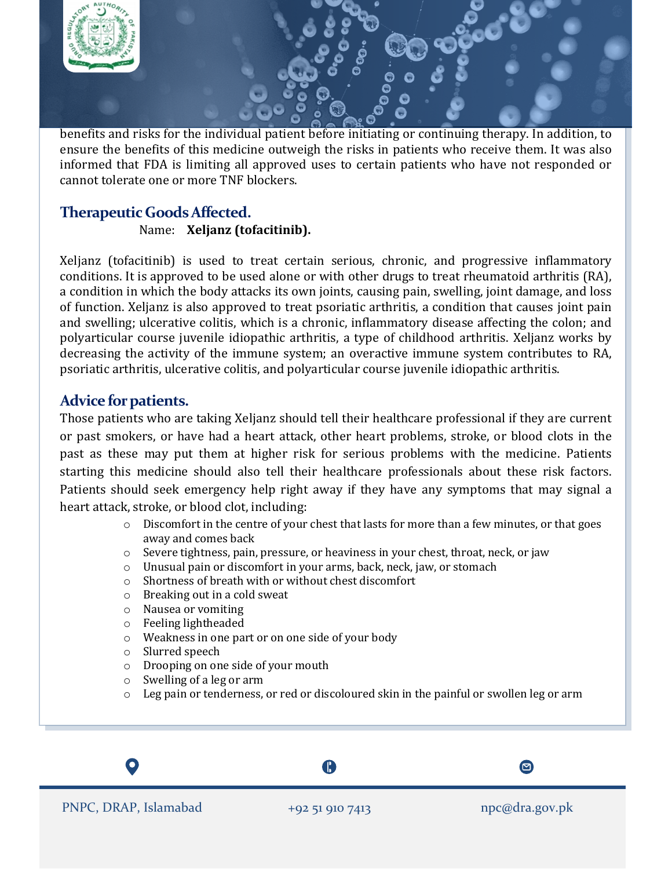

benefits and risks for the individual patient before initiating or continuing therapy. In addition, to ensure the benefits of this medicine outweigh the risks in patients who receive them. It was also informed that FDA is limiting all approved uses to certain patients who have not responded or cannot tolerate one or more TNF blockers.

# **Therapeutic GoodsAffected.**

Name: **Xeljanz (tofacitinib).**

Xeljanz (tofacitinib) is used to treat certain serious, chronic, and progressive inflammatory conditions. It is approved to be used alone or with other drugs to treat rheumatoid arthritis (RA), a condition in which the body attacks its own joints, causing pain, swelling, joint damage, and loss of function. Xeljanz is also approved to treat psoriatic arthritis, a condition that causes joint pain and swelling; ulcerative colitis, which is a chronic, inflammatory disease affecting the colon; and polyarticular course juvenile idiopathic arthritis, a type of childhood arthritis. Xeljanz works by decreasing the activity of the immune system; an overactive immune system contributes to RA, psoriatic arthritis, ulcerative colitis, and polyarticular course juvenile idiopathic arthritis.

# **Advice for patients.**

Those patients who are taking Xeljanz should tell their healthcare professional if they are current or past smokers, or have had a heart attack, other heart problems, stroke, or blood clots in the past as these may put them at higher risk for serious problems with the medicine. Patients starting this medicine should also tell their healthcare professionals about these risk factors. Patients should seek emergency help right away if they have any symptoms that may signal a heart attack, stroke, or blood clot, including:

- $\circ$  Discomfort in the centre of your chest that lasts for more than a few minutes, or that goes away and comes back
- $\circ$  Severe tightness, pain, pressure, or heaviness in your chest, throat, neck, or jaw
- o Unusual pain or discomfort in your arms, back, neck, jaw, or stomach
- $\circ$  Shortness of breath with or without chest discomfort<br>  $\circ$  Breaking out in a cold sweat
- $\circ$  Breaking out in a cold sweat  $\circ$  Nausea or vomiting
- Nausea or vomiting
- o Feeling lightheaded
- o Weakness in one part or on one side of your body
- o Slurred speech
- o Drooping on one side of your mouth
- o Swelling of a leg or arm
- Leg pain or tenderness, or red or discoloured skin in the painful or swollen leg or arm

A

 $\boldsymbol{\Xi}$